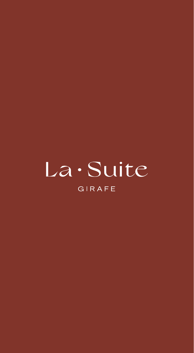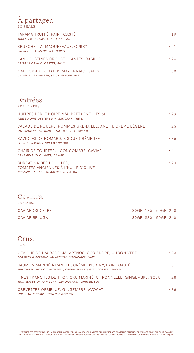### À partager. TO SHARE.

| TARAMA TRUFFÉ, PAIN TOASTÉ<br>TRUFFLED TARAMA, TOASTED BREAD                 | .19        |
|------------------------------------------------------------------------------|------------|
| BRUSCHETTA, MAQUEREAUX, CURRY<br><b>BRUSCHETTA, MACKEREL, CURRY</b>          | $\cdot$ 21 |
| LANGOUSTINES CROUSTILLANTES. BASILIC<br><b>CRISPY NORWAY LOBSTER, BASIL</b>  | .24        |
| CALIFORNIA LOBSTER, MAYONNAISE SPICY<br>CALIFORNIA LOBSTER, SPICY MAYONNAISE | $\cdot$ 30 |

#### Entrées. APPETIZERS.

| HUÎTRES PERLE NOIRE N°4, BRETAGNE (LES 6)<br>PERLE NOIRE OYSTERS N°4, BRITTANY (THE 6)                | . 29       |
|-------------------------------------------------------------------------------------------------------|------------|
| SALADE DE POULPE, POMMES GRENAILLE, ANETH, CRÈME LÉGÈRE<br>OCTOPUS SALAD, BABY POTATOES, DILL, CREAM  | .25        |
| RAVIOLES DE HOMARD, BISQUE CRÉMEUSE<br>LOBSTER RAVIOLI, CREAMY BISQUE                                 | .36        |
| CHAIR DE TOURTEAU, CONCOMBRE, CAVIAR<br>CRABMEAT, CUCUMBER, CAVIAR                                    | $\cdot$ 41 |
| BURRATINA DES POUILLES.<br>TOMATES ANCIENNES À L'HUILE D'OLIVE<br>CREAMY BURRATA, TOMATOES, OLIVE OIL | .23        |

| Caviars.<br>CAVIARS. |                     |                       |
|----------------------|---------------------|-----------------------|
| CAVIAR OSCIÈTRE      | 30GR: 135 50GR: 220 |                       |
| <b>CAVIAR BELUGA</b> |                     | 30 GR: 330 50 GR: 540 |

#### Crus. RAW.

| CEVICHE DE DAURADE, JALAPENOS, CORIANDRE, CITRON VERT<br><b>SEA BREAM CEVICHE, JALAPENOS, CORIANDER, LIME</b>        | .23        |
|----------------------------------------------------------------------------------------------------------------------|------------|
| SAUMON MARINÉ À L'ANETH, CRÈME D'ISIGNY, PAIN TOASTÉ<br>MARINATED SALMON WITH DILL, CREAM FROM ISIGNY, TOASTED BREAD | $\cdot$ 31 |
| FINES TRANCHES DE THON CRU MARINÉ, CITRONNELLE, GINGEMBRE, SOJA<br>THIN SLICES OF RAW TUNA, LEMONGRASS, GINGER, SOY  | .28        |
| CREVETTES OBSIBLUE, GINGEMBRE, AVOCAT<br>OBSIBLUE SHRIMP, GINGER, AVOCADO                                            | .36        |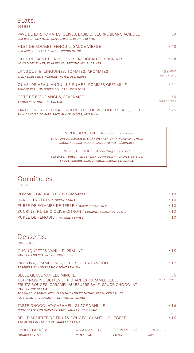#### Plats. DISHES.

| PAVÉ DE BAR, TOMATES, OLIVES, BASILIC, BEURRE BLANC ACIDULÉ<br>SEA BASS, TOMATOES, OLIVES, BASIL, BEURRE BLANC | .39                            |
|----------------------------------------------------------------------------------------------------------------|--------------------------------|
| FILET DE ROUGET, FENOUIL, SAUCE VIERGE<br>RED MULLET FILLET, FENNEL, VIRGIN SAUCE                              | .43                            |
| FILET DE SAINT PIERRE, FÈVES, ARTICHAUTS, SUCRINES<br>JOHN DORY FILLET, FAVA BEANS, ARTICHOKES, SUCRINES       | .48                            |
| LANGOUSTE, LINGUINES, TOMATES, AROMATES<br>SPINY LOBSTER, LINGUINES, TOMATOES, HERBS                           | $.38/100$ GR<br>POUR 2 / FOR 2 |
| QUASI DE VEAU, ANGUILLE FUMÉE, POMMES GRENAILLE<br>TENDER VEAL, SMOCKED EEL, BABY POTATOES                     | $\cdot$ 41                     |
| CÔTE DE BŒUF ANGUS, BÉARNAISE<br><b>ANGUS BEEF CHOP, BEARNAISE</b>                                             | $\cdot$ 160<br>POUR 2 / FOR 2  |
| TARTE FINE AUX TOMATES CONFITES, OLIVES NOIRES, ROQUETTE<br>THIN CANDIED TOMATO TART, BLACK OLIVES, ARUGULA    | .25                            |

LES POISSONS ENTIERS · Selon arrivage *BAR, TURBOT, DAURADE, SAINT PIERRE - GARNITURE AUX CHOIX SAUCE : BEURRE BLANC, SAUCE VIERGE, BÉARNAISE*

WHOLE FISHES · According to arrival *SEA BASS, TURBOT, SEA BREAM, JOHN DORY - CHOICE OF SIDE. SAUCE: BEURRE BLANC, VIRGIN SAUCE, BEARNAISE*

| Garnitures. |
|-------------|
| SIDES.      |

| $\cdot$ 10 |
|------------|
| $\cdot$ 10 |
| $\cdot$ 10 |
| $\cdot$ 10 |
| $\cdot$ 10 |
|            |

## Desserts.

DESSERTS.

| CHOUQUETTES VANILLE, PRALINÉ<br><b>VANILLA AND PRALINE CHOUOUETTES</b>                                                                                                                                                                                                   |           |                                                     | $\cdot$ 1.5           |
|--------------------------------------------------------------------------------------------------------------------------------------------------------------------------------------------------------------------------------------------------------------------------|-----------|-----------------------------------------------------|-----------------------|
| PAVLOVA, FRAMBOISES, FRUITS DE LA PASSION<br>RASPBERRIES AND PASSION FRUIT PAVLOVA                                                                                                                                                                                       |           |                                                     | $\cdot$ 17            |
| BELLE GLACE VANILLE MINUTE,<br>TOPPINGS: NOISETTES ET PISTACHES CARAMÉLISÉES,<br>FRUITS ROUGES, CARAMEL AU BEURRE SALÉ, SAUCE CHOCOLAT<br>VANILLA ICE CREAM.<br>TOPPINGS: CARAMELIZED HAZELNUT AND PISTACHIO, FRESH RED FRUITS<br>SALTED BUTTER CARAMEL, CHOCOLATE SAUCE |           |                                                     | .36<br>POUR 2 / FOR 2 |
| TARTE CHOCOLAT-CARAMEL, GLACE VANILLE<br>CHOCOLATE AND CARAMEL TART, VANILLA ICE CREAM                                                                                                                                                                                   |           |                                                     | $\cdot$ 16            |
| BELLE ASSIETTE DE FRUITS ROUGES, CHANTILLY LÉGÈRE<br>RED FRUITS PLATE, LIGHT WHIPPED CREAM                                                                                                                                                                               |           |                                                     | $\cdot$ 1.5           |
| <b>FRUITS GIVRÉS:</b><br><b>FROZEN FRUITS:</b>                                                                                                                                                                                                                           | PINEAPPLE | $ANANAS \cdot 32$ $CITRON \cdot 12$<br><b>LEMON</b> | KIWI • 17<br>KIWI     |